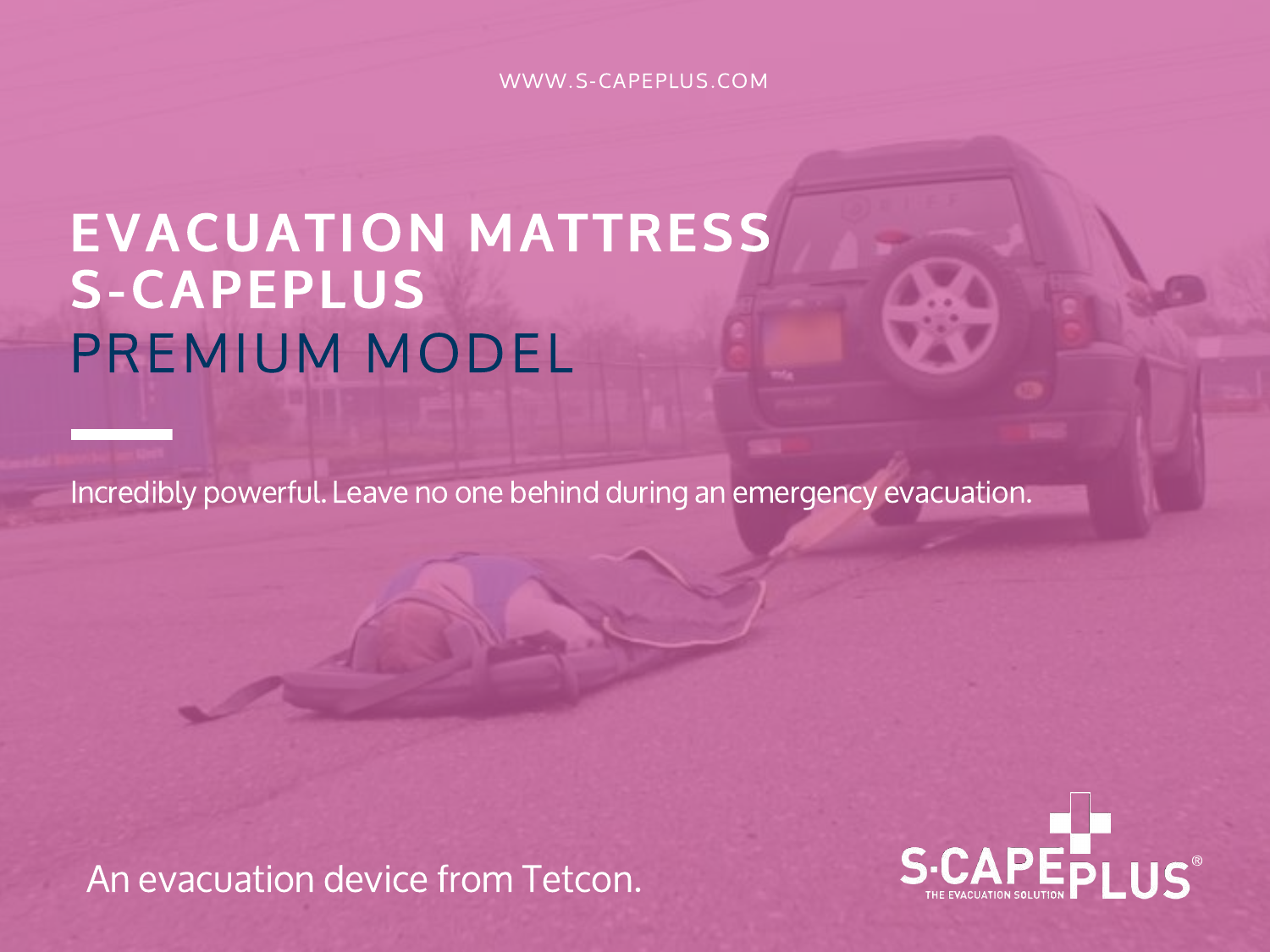WWW.S-CAPEPLUS.COM

## EVACUATION MATTRESS S-CAPEPLUS PREMIUM MODEL

Incredibly powerful. Leave no one behind during an emergency evacuation.

An evacuation device from Tetcon.

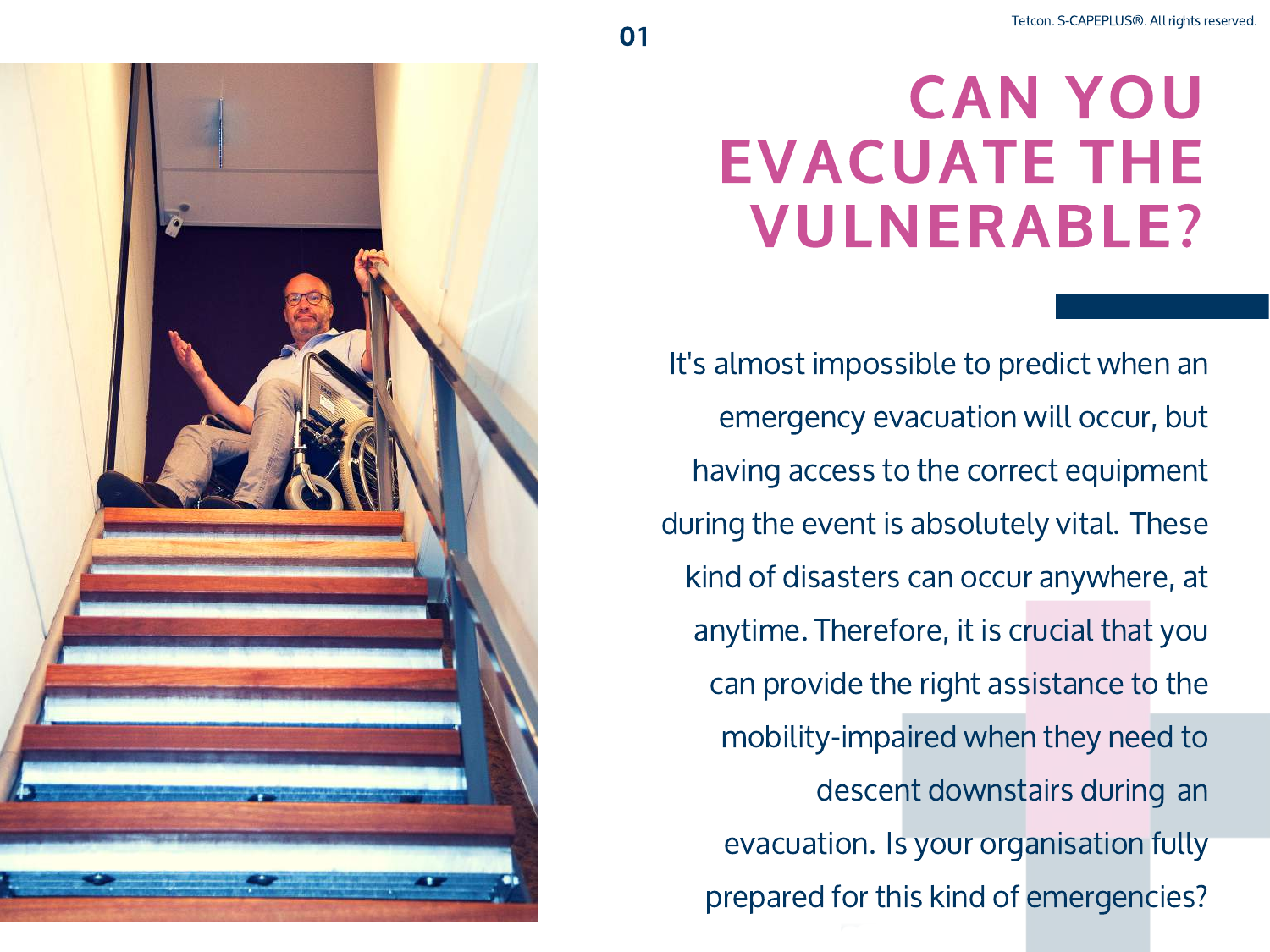## **CAN YOU EVACUATE THE VULNERABLE?**

It's almost impossible to predict when an emergency evacuation will occur, but having access to the correct equipment during the event is absolutely vital. These kind of disasters can occur anywhere, at anytime. Therefore, it is crucial that you can provide the right assistance to the mobility-impaired when they need to descent downstairs during an evacuation. Is your organisation fully prepared for this kind of emergencies?

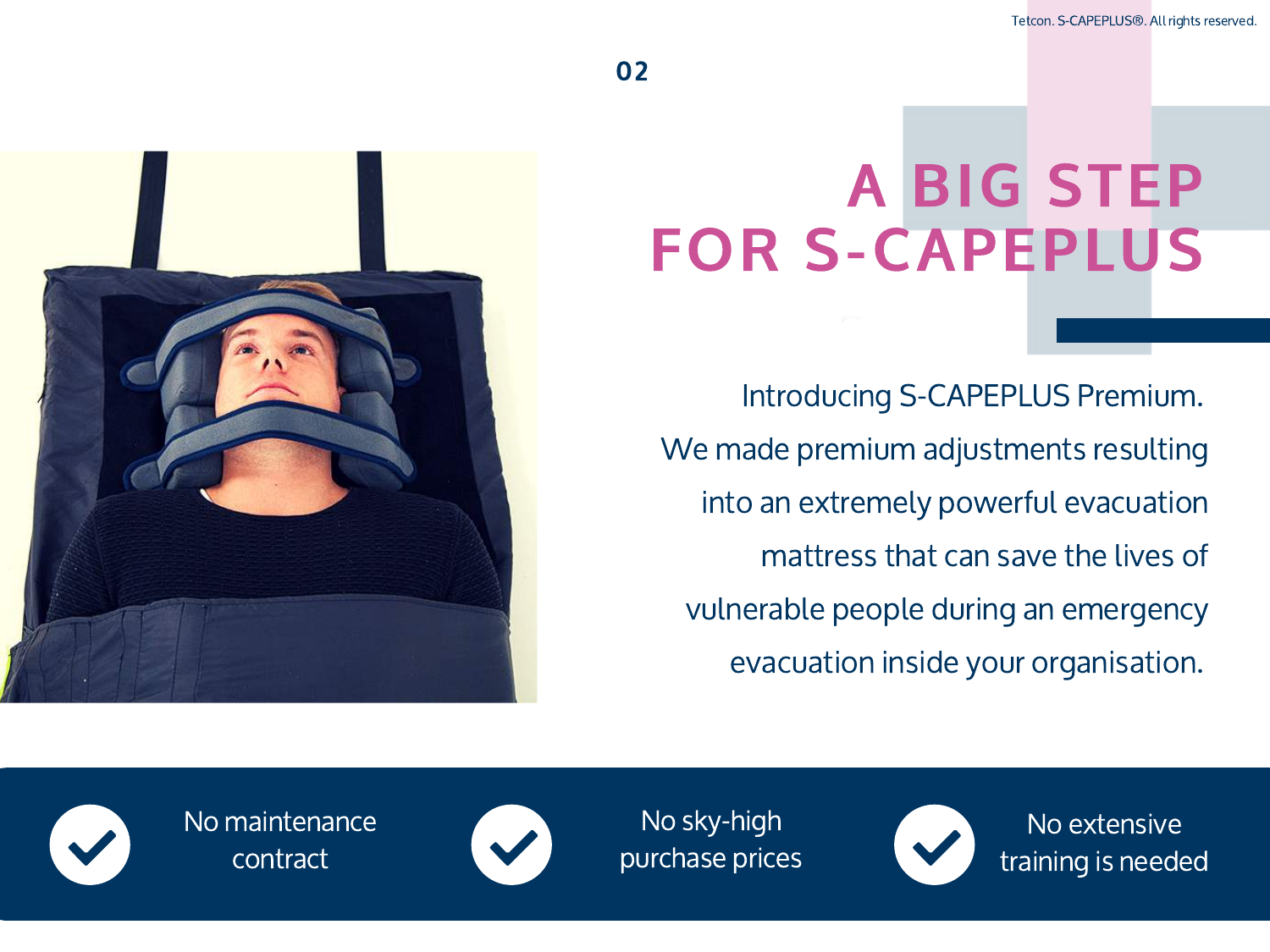

## **A BIG STEP FOR S-CAPEPLUS**

Introducing S-CAPEPLUS Premium. We made premium adjustments resulting into an extremely powerful evacuation mattress that can save the lives of vulnerable people during an emergency evacuation inside your organisation.



No maintenance contract



No sky-high purchase prices



No extensive training is needed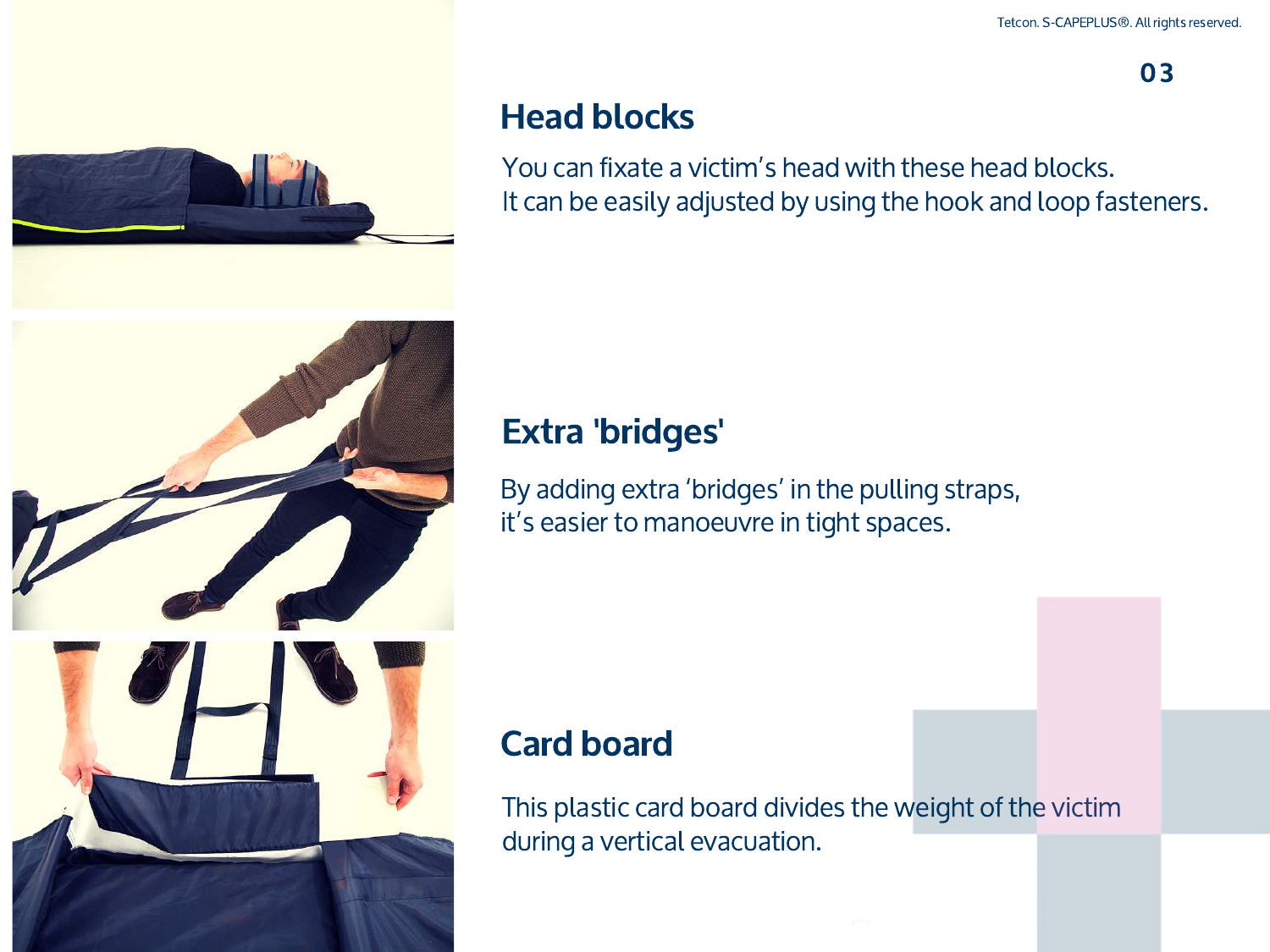03



#### Head blocks

You can fixate a victim's head with these head blocks. It can be easily adjusted by using the hook and loop fasteners.



#### Extra 'bridges'

By adding extra 'bridges' in the pulling straps, it's easier to manoeuvre in tight spaces.

#### Card board

This plastic card board divides the weight of the victim during a vertical evacuation.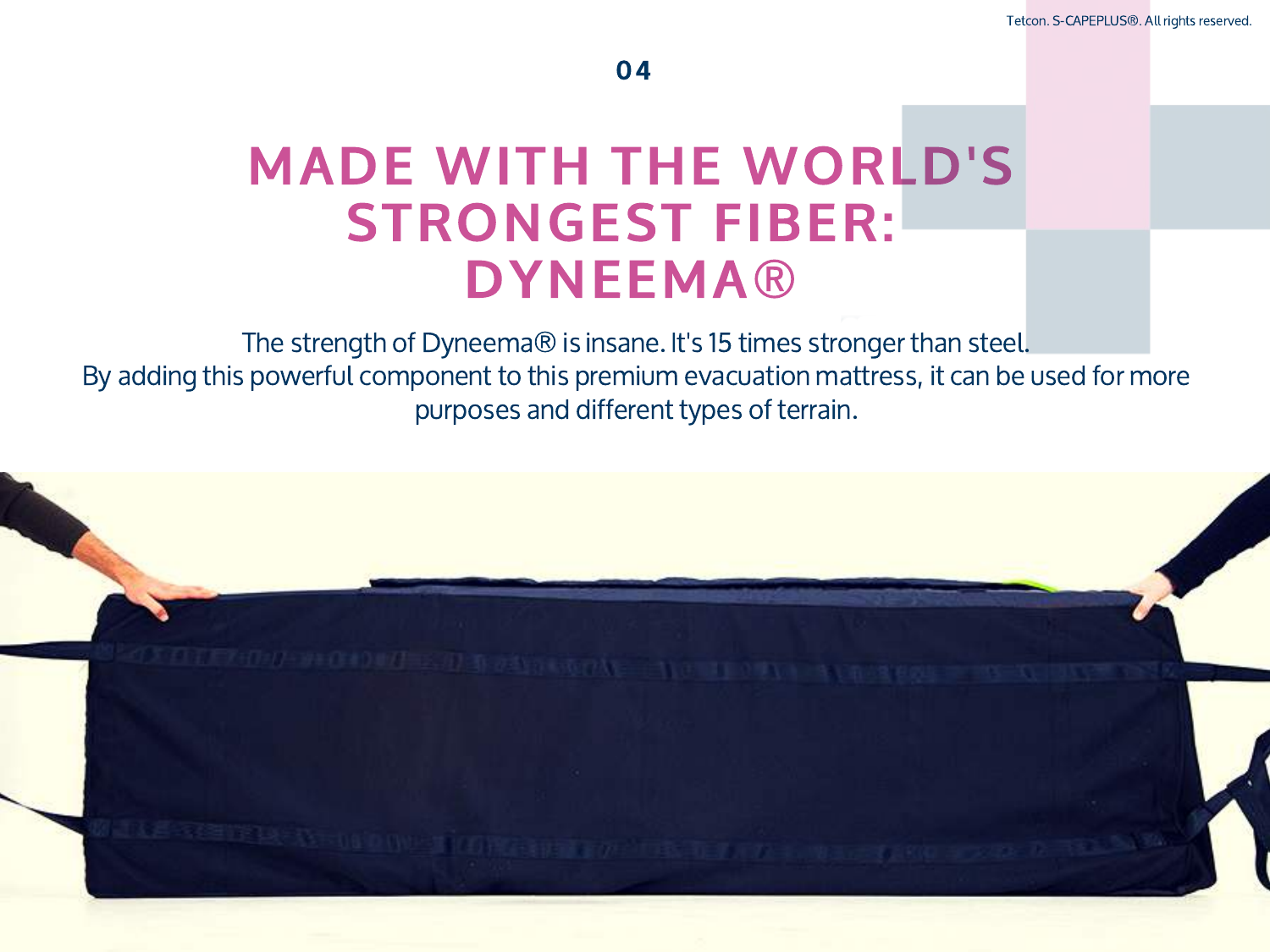### **MADE WITH THE WORLD'S STRONGEST FIBER: DYNEEMA®**

The strength of Dyneema® is insane. It's 15 times stronger than steel. By adding this powerful component to this premium evacuation mattress, it can be used for more purposes and different types of terrain.

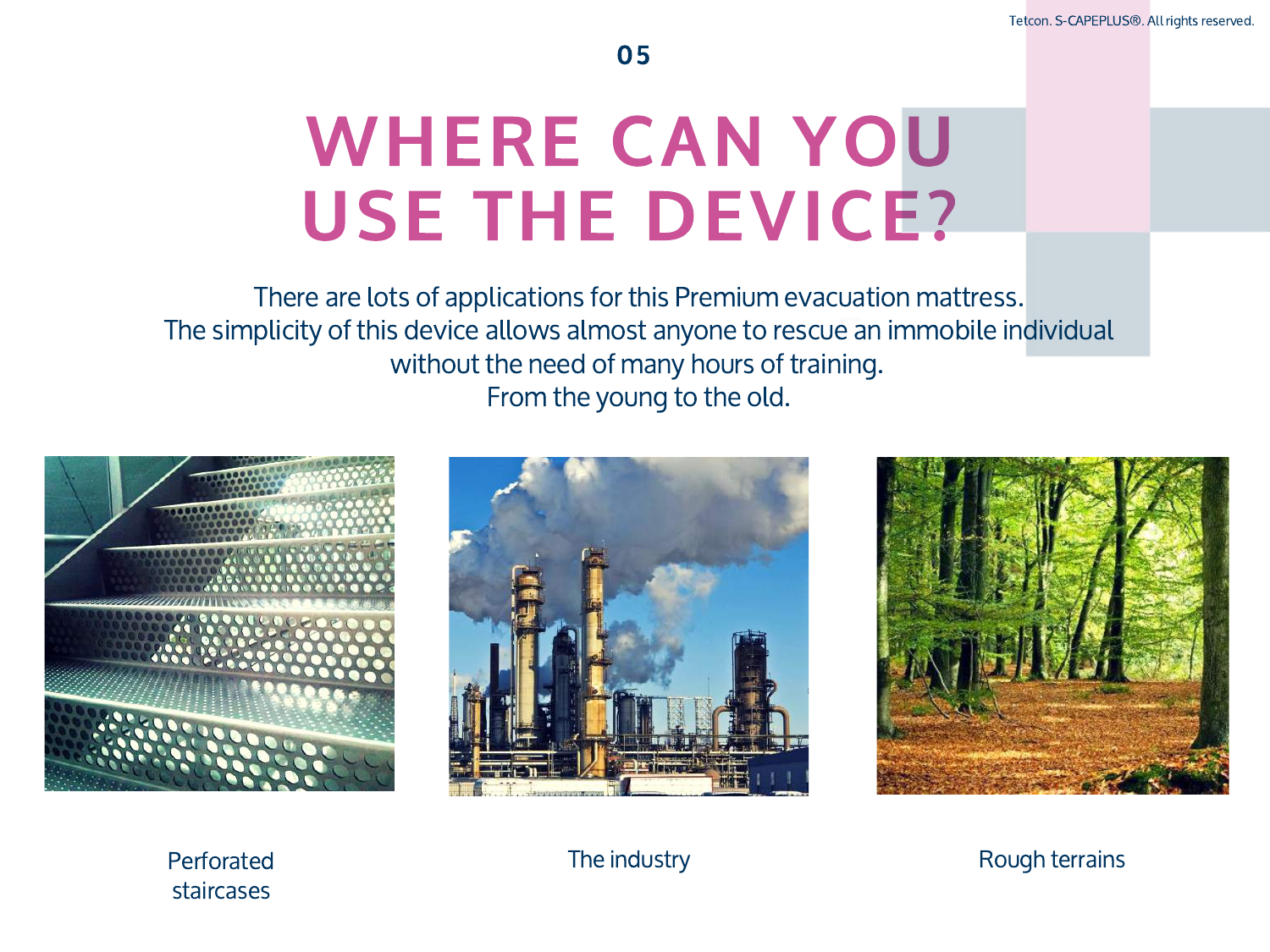# WHERE CAN YOU **USE THE DEVICE?**

There are lots of applications for this Premium evacuation mattress. The simplicity of this device allows almost anyone to rescue an immobile individual without the need of many hours of training. From the young to the old.







Perforated staircases

The industry **Rough terrains**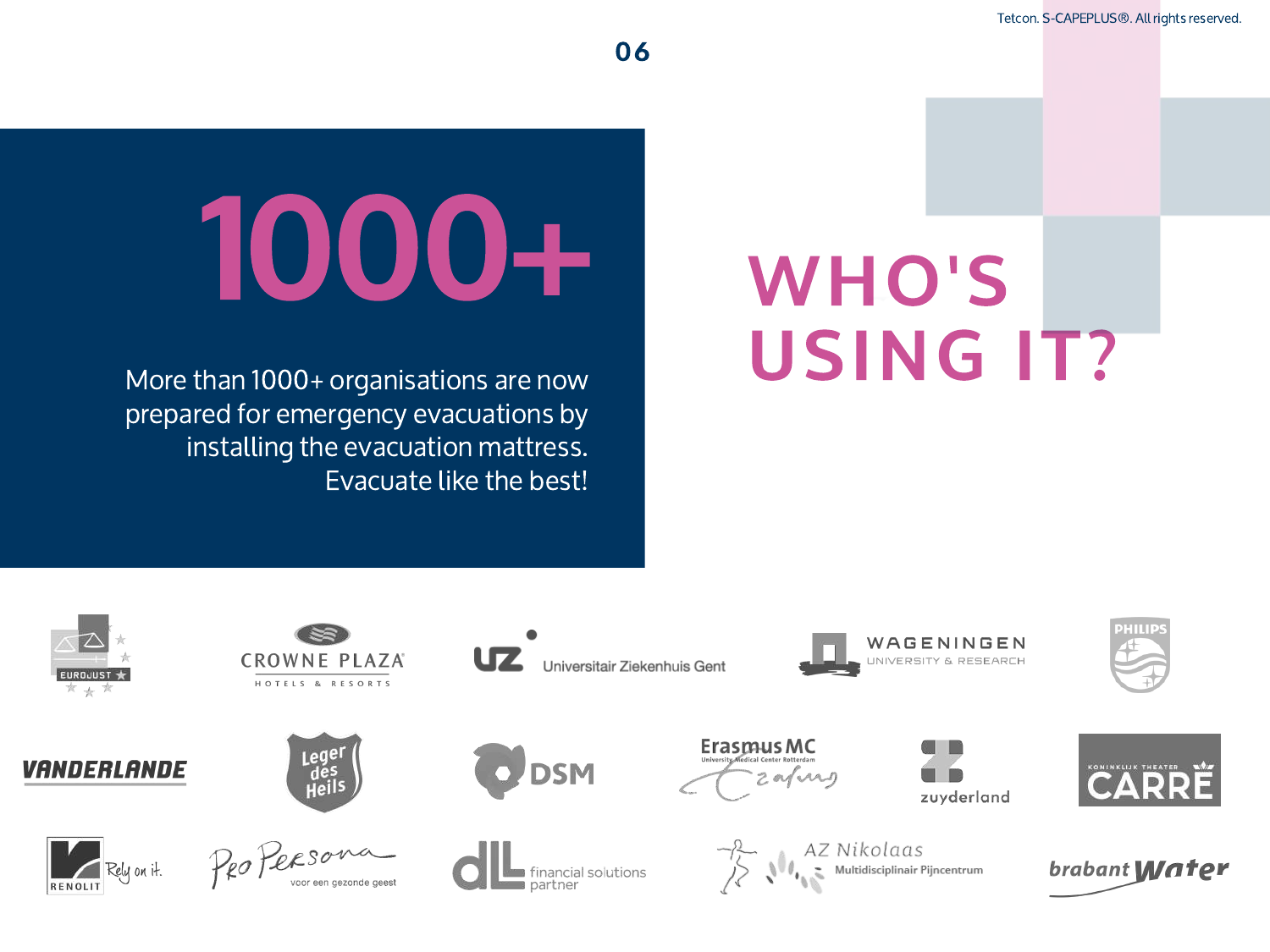Tetcon. S-CAPEPLUS®. All rights reserved.

# 1000+

More than 1000+ organisations are now prepared for emergency evacuations by installing the evacuation mattress. Evacuate like the best!

# WHO'S USING IT?











**CROWNE PLAZA** 

HOTELS & RESORTS

Legel<br>des<br>Heil:



O DSM

**Les financial solutions**<br>**Les partner** 

Universitair Ziekenhuis Gent



 $\overrightarrow{P}$  AZ Nikolaas<br>
Multidisciplinair Pijncentrum



WAGENINGEN

UNIVERSITY & RESEARCH



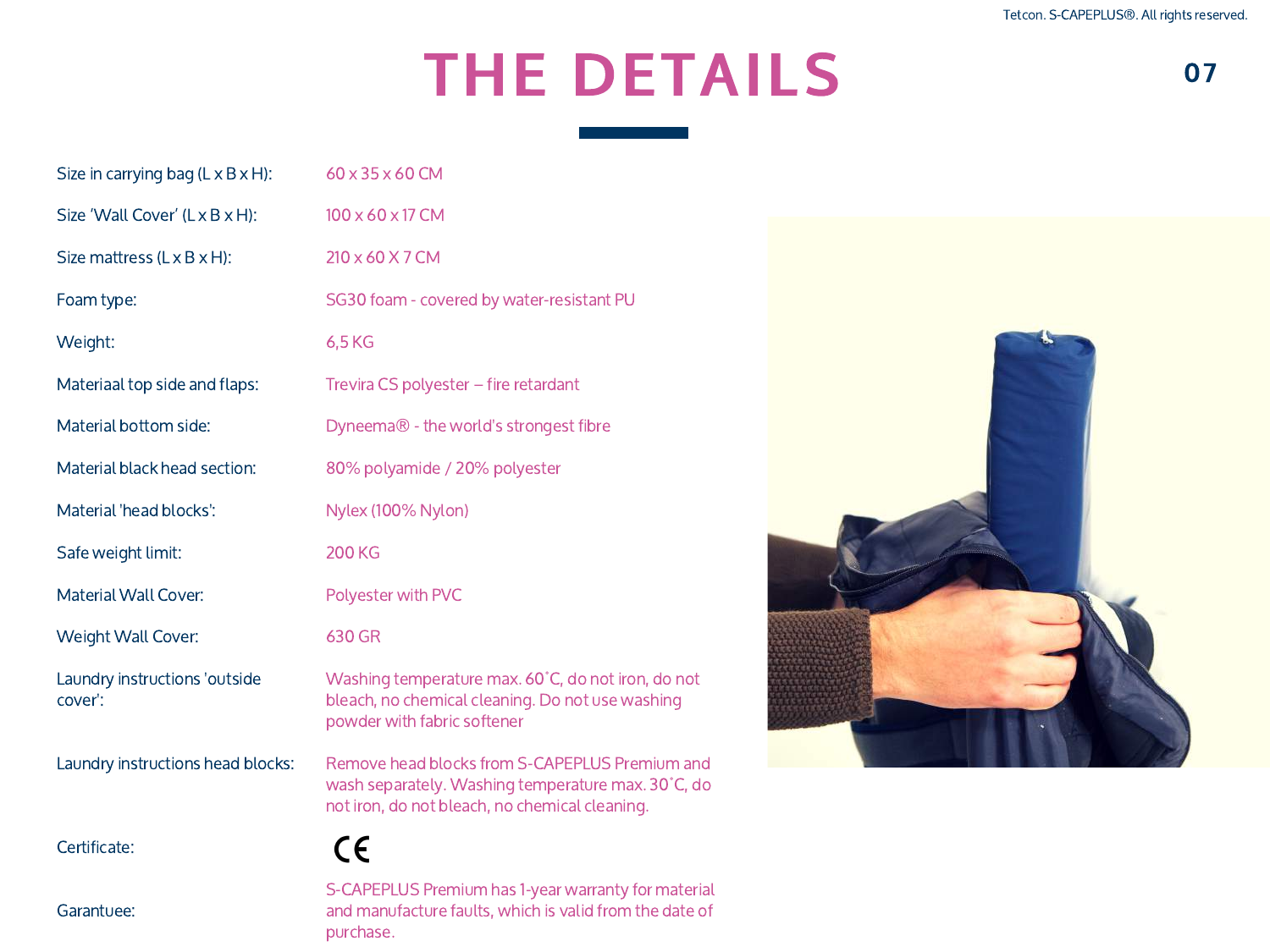## **THE DETAILS**

| Size in carrying bag $(L \times B \times H)$ : | 60 x 35 x 60 CM                                                                                                                                        |
|------------------------------------------------|--------------------------------------------------------------------------------------------------------------------------------------------------------|
| Size 'Wall Cover' (L x B x H):                 | 100 x 60 x 17 CM                                                                                                                                       |
| Size mattress (L x B x H):                     | 210 x 60 X 7 CM                                                                                                                                        |
| Foam type:                                     | SG30 foam - covered by water-resistant PU                                                                                                              |
| Weight:                                        | 6,5 KG                                                                                                                                                 |
| Materiaal top side and flaps:                  | Trevira CS polyester - fire retardant                                                                                                                  |
| Material bottom side:                          | Dyneema® - the world's strongest fibre                                                                                                                 |
| Material black head section:                   | 80% polyamide / 20% polyester                                                                                                                          |
| Material 'head blocks':                        | Nylex (100% Nylon)                                                                                                                                     |
| Safe weight limit:                             | <b>200 KG</b>                                                                                                                                          |
| Material Wall Cover:                           | Polyester with PVC                                                                                                                                     |
| Weight Wall Cover:                             | 630 GR                                                                                                                                                 |
| Laundry instructions 'outside<br>cover':       | Washing temperature max. 60°C, do not iron, do not<br>bleach, no chemical cleaning. Do not use washing<br>powder with fabric softener                  |
| Laundry instructions head blocks:              | Remove head blocks from S-CAPEPLUS Premium and<br>wash separately. Washing temperature max. 30°C, do<br>not iron, do not bleach, no chemical cleaning. |
| Certificate:                                   | CE                                                                                                                                                     |
| Garantuee:                                     | S-CAPEPLUS Premium has 1-year warranty for material<br>and manufacture faults, which is valid from the date of                                         |

purchase.